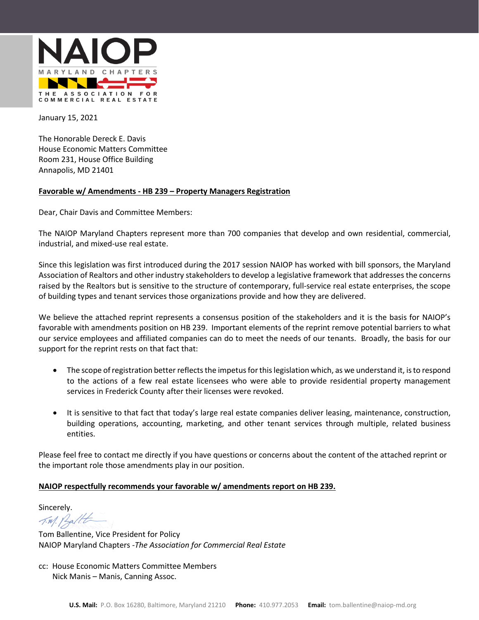

January 15, 2021

The Honorable Dereck E. Davis House Economic Matters Committee Room 231, House Office Building Annapolis, MD 21401

#### **Favorable w/ Amendments - HB 239 – Property Managers Registration**

Dear, Chair Davis and Committee Members:

The NAIOP Maryland Chapters represent more than 700 companies that develop and own residential, commercial, industrial, and mixed-use real estate.

Since this legislation was first introduced during the 2017 session NAIOP has worked with bill sponsors, the Maryland Association of Realtors and other industry stakeholders to develop a legislative framework that addresses the concerns raised by the Realtors but is sensitive to the structure of contemporary, full-service real estate enterprises, the scope of building types and tenant services those organizations provide and how they are delivered.

We believe the attached reprint represents a consensus position of the stakeholders and it is the basis for NAIOP's favorable with amendments position on HB 239. Important elements of the reprint remove potential barriers to what our service employees and affiliated companies can do to meet the needs of our tenants. Broadly, the basis for our support for the reprint rests on that fact that:

- The scope of registration better reflects the impetus for this legislation which, as we understand it, is to respond to the actions of a few real estate licensees who were able to provide residential property management services in Frederick County after their licenses were revoked.
- It is sensitive to that fact that today's large real estate companies deliver leasing, maintenance, construction, building operations, accounting, marketing, and other tenant services through multiple, related business entities.

Please feel free to contact me directly if you have questions or concerns about the content of the attached reprint or the important role those amendments play in our position.

#### **NAIOP respectfully recommends your favorable w/ amendments report on HB 239.**

Sincerely.<br> $\not\sim$  14 /2 alt

Tom Ballentine, Vice President for Policy NAIOP Maryland Chapters -*The Association for Commercial Real Estate*

cc: House Economic Matters Committee Members Nick Manis – Manis, Canning Assoc.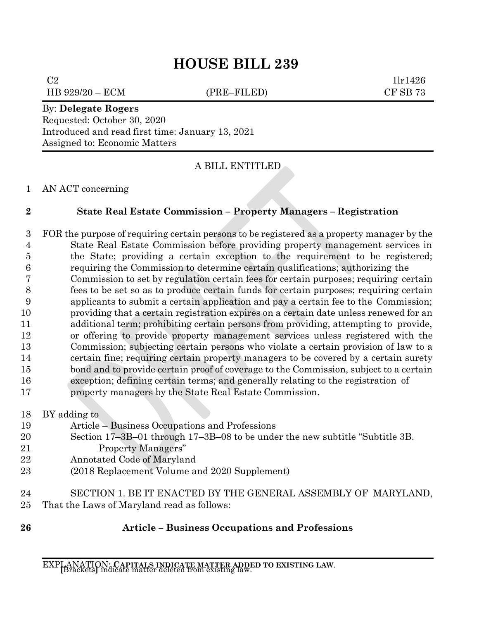# **HOUSE BILL 239**

 $C2$  1lr1426

HB 929/20 – ECM (PRE–FILED) CF SB 73

### By: **Delegate Rogers**

Requested: October 30, 2020 Introduced and read first time: January 13, 2021 Assigned to: Economic Matters

## A BILL ENTITLED

## AN ACT concerning

## **State Real Estate Commission – Property Managers – Registration**

- FOR the purpose of requiring certain persons to be registered as a property manager by the State Real Estate Commission before providing property management services in the State; providing a certain exception to the requirement to be registered; requiring the Commission to determine certain qualifications; authorizing the
- Commission to set by regulation certain fees for certain purposes; requiring certain fees to be set so as to produce certain funds for certain purposes; requiring certain applicants to submit a certain application and pay a certain fee to the Commission; providing that a certain registration expires on a certain date unless renewed for an additional term; prohibiting certain persons from providing, attempting to provide, or offering to provide property management services unless registered with the Commission; subjecting certain persons who violate a certain provision of law to a certain fine; requiring certain property managers to be covered by a certain surety 15 bond and to provide certain proof of coverage to the Commission, subject to a certain exception; defining certain terms; and generally relating to the registration of property managers by the State Real Estate Commission.
- BY adding to Article – Business Occupations and Professions Section 17–3B–01 through 17–3B–08 to be under the new subtitle "Subtitle 3B. Property Managers" Annotated Code of Maryland (2018 Replacement Volume and 2020 Supplement)
- SECTION 1. BE IT ENACTED BY THE GENERAL ASSEMBLY OF MARYLAND, That the Laws of Maryland read as follows:
- 

# **Article – Business Occupations and Professions**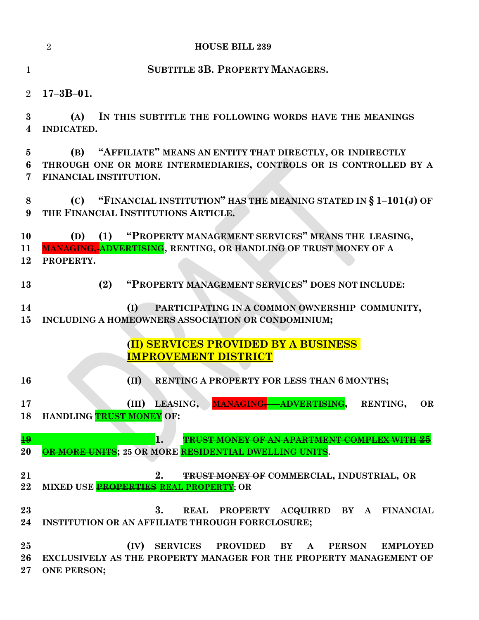|                            | $\overline{2}$<br><b>HOUSE BILL 239</b>                                                                                                                                         |
|----------------------------|---------------------------------------------------------------------------------------------------------------------------------------------------------------------------------|
| 1                          | <b>SUBTITLE 3B. PROPERTY MANAGERS.</b>                                                                                                                                          |
| $\overline{2}$             | $17 - 3B - 01.$                                                                                                                                                                 |
| $\bf{3}$<br>$\overline{4}$ | IN THIS SUBTITLE THE FOLLOWING WORDS HAVE THE MEANINGS<br>(A)<br><b>INDICATED.</b>                                                                                              |
| 5<br>6<br>7                | (B) "AFFILIATE" MEANS AN ENTITY THAT DIRECTLY, OR INDIRECTLY<br>THROUGH ONE OR MORE INTERMEDIARIES, CONTROLS OR IS CONTROLLED BY A<br>FINANCIAL INSTITUTION.                    |
| 8<br>9                     | (C) "FINANCIAL INSTITUTION" HAS THE MEANING STATED IN $\S 1-101(J)$ OF<br>THE FINANCIAL INSTITUTIONS ARTICLE.                                                                   |
| 10<br>11<br>12             | (D) (1) "PROPERTY MANAGEMENT SERVICES" MEANS THE LEASING,<br><b>MANAGING, ADVERTISING, RENTING, OR HANDLING OF TRUST MONEY OF A</b><br>PROPERTY.                                |
| 13                         | "PROPERTY MANAGEMENT SERVICES" DOES NOT INCLUDE:<br>(2)                                                                                                                         |
| 14<br>15                   | PARTICIPATING IN A COMMON OWNERSHIP COMMUNITY,<br>(I)<br>INCLUDING A HOMEOWNERS ASSOCIATION OR CONDOMINIUM;                                                                     |
|                            | (II) SERVICES PROVIDED BY A BUSINESS<br><b>IMPROVEMENT DISTRICT</b>                                                                                                             |
| <b>16</b>                  | RENTING A PROPERTY FOR LESS THAN 6 MONTHS;<br>(II)                                                                                                                              |
| 17<br>18                   | LEASING, MANAGING, ADVERTISING,<br>(III)<br>RENTING,<br><b>OR</b><br>HANDLING TRUST MONEY OF:                                                                                   |
| 19<br>20                   | 1.<br><b>TRUST MONEY OF AN APARTMENT COMPLEX WITH 25</b><br>OR MORE UNITS; 25 OR MORE RESIDENTIAL DWELLING UNITS.                                                               |
| 21<br>22                   | 2.<br>TRUST MONEY OF COMMERCIAL, INDUSTRIAL, OR<br>MIXED USE PROPERTIES REAL PROPERTY; OR                                                                                       |
| 23<br>24                   | 3.<br>PROPERTY ACQUIRED BY A FINANCIAL<br><b>REAL</b><br>INSTITUTION OR AN AFFILIATE THROUGH FORECLOSURE;                                                                       |
| 25<br>26<br>$27\,$         | (IV)<br>SERVICES PROVIDED<br>BY<br><b>PERSON</b><br><b>EMPLOYED</b><br>$\mathbf{A}$<br>EXCLUSIVELY AS THE PROPERTY MANAGER FOR THE PROPERTY MANAGEMENT OF<br><b>ONE PERSON;</b> |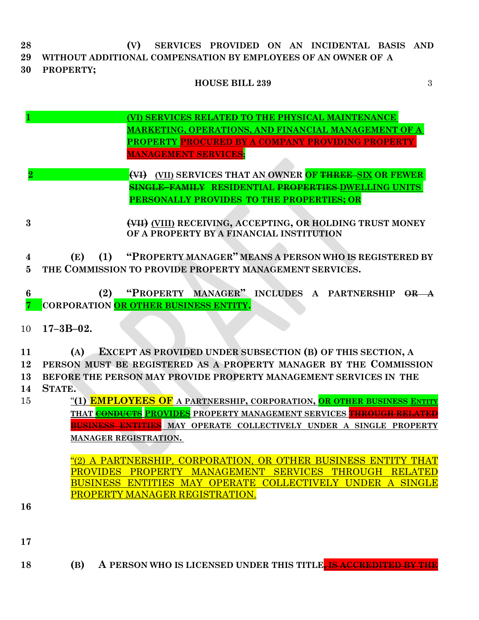**28 (V) SERVICES PROVIDED ON AN INCIDENTAL BASIS AND 29 WITHOUT ADDITIONAL COMPENSATION BY EMPLOYEES OF AN OWNER OF A**

**30 PROPERTY;**

## **HOUSE BILL 239** 3

- **1 (VI) SERVICES RELATED TO THE PHYSICAL MAINTENANCE MARKETING, OPERATIONS, AND FINANCIAL MANAGEMENT OF A PROPERTY PROCURED BY A COMPANY PROVIDING PROPERTY MANAGEMENT SERVICES;**
- **2 (VI) (VII) SERVICES THAT AN OWNER OF THREE SIX OR FEWER SINGLE–FAMILY RESIDENTIAL PROPERTIES DWELLING UNITS PERSONALLY PROVIDES TO THE PROPERTIES; OR**

**3 (VII) (VIII) RECEIVING, ACCEPTING, OR HOLDING TRUST MONEY OF A PROPERTY BY A FINANCIAL INSTITUTION**

**4 (E) (1) "PROPERTY MANAGER" MEANS A PERSON WHO IS REGISTERED BY 5 THE COMMISSION TO PROVIDE PROPERTY MANAGEMENT SERVICES.**

**6 (2) "PROPERTY MANAGER" INCLUDES A PARTNERSHIP OR A 7 CORPORATION OR OTHER BUSINESS ENTITY.**

10 **17–3B–02.**

 **(A) EXCEPT AS PROVIDED UNDER SUBSECTION (B) OF THIS SECTION, A PERSON MUST BE REGISTERED AS A PROPERTY MANAGER BY THE COMMISSION BEFORE THE PERSON MAY PROVIDE PROPERTY MANAGEMENT SERVICES IN THE 14 STATE.**

15 "**(1) EMPLOYEES OF A PARTNERSHIP, CORPORATION, OR OTHER BUSINESS ENTITY THAT CONDUCTS PROVIDES PROPERTY MANAGEMENT SERVICES THROUGH RELATED BUSINESS ENTITIES MAY OPERATE COLLECTIVELY UNDER A SINGLE PROPERTY MANAGER REGISTRATION.**

> "(2) A PARTNERSHIP, CORPORATION, OR OTHER BUSINESS ENTITY THAT PROVIDES PROPERTY MANAGEMENT SERVICES THROUGH RELATED BUSINESS ENTITIES MAY OPERATE COLLECTIVELY UNDER A SINGLE PROPERTY MANAGER REGISTRATION.

- **16**
- **17**
- **18 (B) A PERSON WHO IS LICENSED UNDER THIS TITLE, IS ACCREDITED BY THE**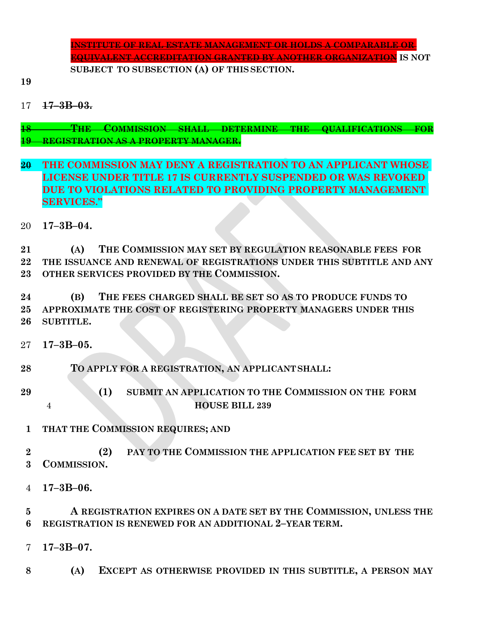**INSTITUTE OF REAL ESTATE MANAGEMENT OR HOLDS A COMPARABLE OR EQUIVALENT ACCREDITATION GRANTED BY ANOTHER ORGANIZATION IS NOT SUBJECT TO SUBSECTION (A) OF THIS SECTION.**

**17–3B–03.**

 **THE COMMISSION SHALL DETERMINE THE QUALIFICATIONS FOR REGISTRATION AS A PROPERTY MANAGER.**

- **THE COMMISSION MAY DENY A REGISTRATION TO AN APPLICANT WHOSE LICENSE UNDER TITLE 17 IS CURRENTLY SUSPENDED OR WAS REVOKED DUE TO VIOLATIONS RELATED TO PROVIDING PROPERTY MANAGEMENT SERVICES."**
- **17–3B–04.**

 **(A) THE COMMISSION MAY SET BY REGULATION REASONABLE FEES FOR THE ISSUANCE AND RENEWAL OF REGISTRATIONS UNDER THIS SUBTITLE AND ANY OTHER SERVICES PROVIDED BY THE COMMISSION.**

 **(B) THE FEES CHARGED SHALL BE SET SO AS TO PRODUCE FUNDS TO APPROXIMATE THE COST OF REGISTERING PROPERTY MANAGERS UNDER THIS SUBTITLE.**

**17–3B–05.**

**TO APPLY FOR A REGISTRATION, AN APPLICANT SHALL:**

- **(1) SUBMIT AN APPLICATION TO THE COMMISSION ON THE FORM HOUSE BILL 239**
- **THAT THE COMMISSION REQUIRES; AND**

 **(2) PAY TO THE COMMISSION THE APPLICATION FEE SET BY THE COMMISSION.**

**17–3B–06.**

 **A REGISTRATION EXPIRES ON A DATE SET BY THE COMMISSION, UNLESS THE REGISTRATION IS RENEWED FOR AN ADDITIONAL 2–YEAR TERM.**

**17–3B–07.**

**(A) EXCEPT AS OTHERWISE PROVIDED IN THIS SUBTITLE, A PERSON MAY**